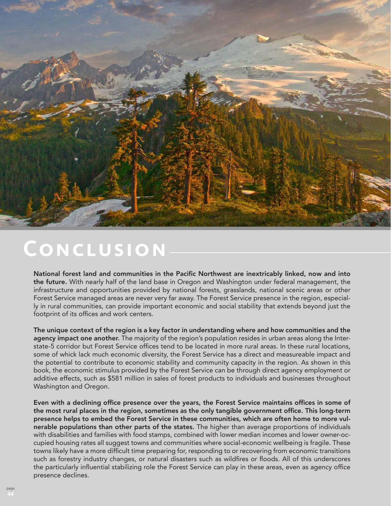

## **Conclusion**

National forest land and communities in the Pacific Northwest are inextricably linked, now and into the future. With nearly half of the land base in Oregon and Washington under federal management, the infrastructure and opportunities provided by national forests, grasslands, national scenic areas or other Forest Service managed areas are never very far away. The Forest Service presence in the region, especially in rural communities, can provide important economic and social stability that extends beyond just the footprint of its offices and work centers.

The unique context of the region is a key factor in understanding where and how communities and the agency impact one another. The majority of the region's population resides in urban areas along the Interstate-5 corridor but Forest Service offices tend to be located in more rural areas. In these rural locations, some of whick lack much economic diversity, the Forest Service has a direct and measureable impact and the potential to contribute to economic stability and community capacity in the region. As shown in this book, the economic stimulus provided by the Forest Service can be through direct agency employment or additive effects, such as \$581 million in sales of forest products to individuals and businesses throughout Washington and Oregon.

Even with a declining office presence over the years, the Forest Service maintains offices in some of the most rural places in the region, sometimes as the only tangible government office. This long-term presence helps to embed the Forest Service in these communities, which are often home to more vulnerable populations than other parts of the states. The higher than average proportions of individuals with disabilities and families with food stamps, combined with lower median incomes and lower owner-occupied housing rates all suggest towns and communities where social-economic wellbeing is fragile. These towns likely have a more difficult time preparing for, responding to or recovering from economic transitions such as forestry industry changes, or natural disasters such as wildfires or floods. All of this underscores the particularly influential stabilizing role the Forest Service can play in these areas, even as agency office presence declines.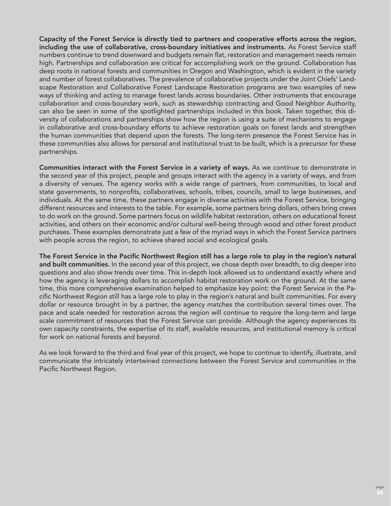Capacity of the Forest Service is directly tied to partners and cooperative efforts across the region, including the use of collaborative, cross-boundary initiatives and instruments. As Forest Service staff numbers continue to trend downward and budgets remain flat, restoration and management needs remain high. Partnerships and collaboration are critical for accomplishing work on the ground. Collaboration has deep roots in national forests and communities in Oregon and Washington, which is evident in the variety and number of forest collaboratives. The prevalence of collaborative projects under the Joint Chiefs' Landscape Restoration and Collaborative Forest Landscape Restoration programs are two examples of new ways of thinking and acting to manage forest lands across boundaries. Other instruments that encourage collaboration and cross-boundary work, such as stewardship contracting and Good Neighbor Authority, can also be seen in some of the spotlighted partnerships included in this book. Taken together, this diversity of collaborations and partnerships show how the region is using a suite of mechanisms to engage in collaborative and cross-boundary efforts to achieve restoration goals on forest lands and strengthen the human communities that depend upon the forests. The long-term presence the Forest Service has in these communities also allows for personal and institutional trust to be built, which is a precursor for these partnerships.

Communities interact with the Forest Service in a variety of ways. As we continue to demonstrate in the second year of this project, people and groups interact with the agency in a variety of ways, and from a diversity of venues. The agency works with a wide range of partners, from communities, to local and state governments, to nonprofits, collaboratives, schools, tribes, councils, small to large businesses, and individuals. At the same time, these partners engage in diverse activities with the Forest Service, bringing different resources and interests to the table. For example, some partners bring dollars, others bring crews to do work on the ground. Some partners focus on wildlife habitat restoration, others on educational forest activities, and others on their economic and/or cultural well-being through wood and other forest product purchases. These examples demonstrate just a few of the myriad ways in which the Forest Service partners with people across the region, to achieve shared social and ecological goals.

The Forest Service in the Pacific Northwest Region still has a large role to play in the region's natural and built communities. In the second year of this project, we chose depth over breadth, to dig deeper into questions and also show trends over time. This in-depth look allowed us to understand exactly where and how the agency is leveraging dollars to accomplish habitat restoration work on the ground. At the same time, this more comprehensive examination helped to emphasize key point: the Forest Service in the Pacific Northwest Region still has a large role to play in the region's natural and built communities. For every dollar or resource brought in by a partner, the agency matches the contribution several times over. The pace and scale needed for restoration across the region will continue to require the long-term and large scale commitment of resources that the Forest Service can provide. Although the agency experiences its own capacity constraints, the expertise of its staff, available resources, and institutional memory is critical for work on national forests and beyond.

As we look forward to the third and final year of this project, we hope to continue to identify, illustrate, and communicate the intricately intertwined connections between the Forest Service and communities in the Pacific Northwest Region.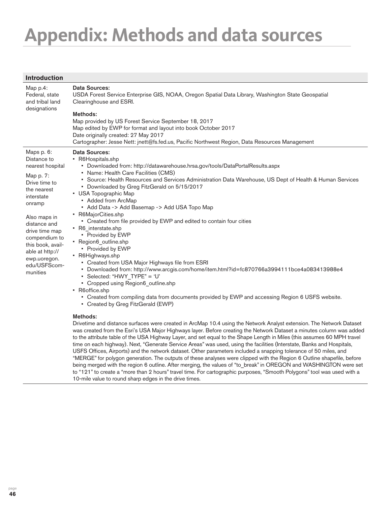## **Appendix: Methods and data sources**

| <b>Introduction</b>                                                                                                                                                                                                                                                       |                                                                                                                                                                                                                                                                                                                                                                                                                                                                                                                                                                                                                                                                                                                                                                                                                                                                                                                                                                                                                                                                                                                                                                                                                                                                                                                                                                                                                                                                                                                                                      |
|---------------------------------------------------------------------------------------------------------------------------------------------------------------------------------------------------------------------------------------------------------------------------|------------------------------------------------------------------------------------------------------------------------------------------------------------------------------------------------------------------------------------------------------------------------------------------------------------------------------------------------------------------------------------------------------------------------------------------------------------------------------------------------------------------------------------------------------------------------------------------------------------------------------------------------------------------------------------------------------------------------------------------------------------------------------------------------------------------------------------------------------------------------------------------------------------------------------------------------------------------------------------------------------------------------------------------------------------------------------------------------------------------------------------------------------------------------------------------------------------------------------------------------------------------------------------------------------------------------------------------------------------------------------------------------------------------------------------------------------------------------------------------------------------------------------------------------------|
| Map p.4:<br>Federal, state<br>and tribal land<br>designations                                                                                                                                                                                                             | Data Sources:<br>USDA Forest Service Enterprise GIS, NOAA, Oregon Spatial Data Library, Washington State Geospatial<br>Clearinghouse and ESRI.<br>Methods:<br>Map provided by US Forest Service September 18, 2017                                                                                                                                                                                                                                                                                                                                                                                                                                                                                                                                                                                                                                                                                                                                                                                                                                                                                                                                                                                                                                                                                                                                                                                                                                                                                                                                   |
|                                                                                                                                                                                                                                                                           | Map edited by EWP for format and layout into book October 2017<br>Date originally created: 27 May 2017<br>Cartographer: Jesse Nett: jnett@fs.fed.us, Pacific Northwest Region, Data Resources Management                                                                                                                                                                                                                                                                                                                                                                                                                                                                                                                                                                                                                                                                                                                                                                                                                                                                                                                                                                                                                                                                                                                                                                                                                                                                                                                                             |
| Maps p. 6:<br>Distance to<br>nearest hospital<br>Map p. 7:<br>Drive time to<br>the nearest<br>interstate<br>onramp<br>Also maps in<br>distance and<br>drive time map<br>compendium to<br>this book, avail-<br>able at http://<br>ewp.uoregon.<br>edu/USFScom-<br>munities | <b>Data Sources:</b><br>• R6Hospitals.shp<br>• Downloaded from: http://datawarehouse.hrsa.gov/tools/DataPortalResults.aspx<br>• Name: Health Care Facilities (CMS)<br>· Source: Health Resources and Services Administration Data Warehouse, US Dept of Health & Human Services<br>• Downloaded by Greg FitzGerald on 5/15/2017<br>• USA Topographic Map<br>• Added from ArcMap<br>• Add Data -> Add Basemap -> Add USA Topo Map<br>• R6MajorCities.shp<br>• Created from file provided by EWP and edited to contain four cities<br>• R6_interstate.shp<br>• Provided by EWP<br>· Region6_outline.shp<br>• Provided by EWP<br>• R6Highways.shp<br>• Created from USA Major Highways file from ESRI<br>Downloaded from: http://www.arcgis.com/home/item.html?id=fc870766a3994111bce4a083413988e4<br>• Selected: "HWY TYPE" = 'U'<br>• Cropped using Region6_outline.shp<br>• R6office.shp<br>• Created from compiling data from documents provided by EWP and accessing Region 6 USFS website.<br>• Created by Greg FitzGerald (EWP)<br>Methods:<br>Drivetime and distance surfaces were created in ArcMap 10.4 using the Network Analyst extension. The Network Dataset<br>was created from the Esri's USA Major Highways layer. Before creating the Network Dataset a minutes column was added<br>to the attribute table of the USA Highway Layer, and set equal to the Shape Length in Miles (this assumes 60 MPH travel<br>time on each highway). Next, "Generate Service Areas" was used, using the facilities (Interstate, Banks and Hospitals, |

USFS Offices, Airports) and the network dataset. Other parameters included a snapping tolerance of 50 miles, and "MERGE" for polygon generation. The outputs of these analyses were clipped with the Region 6 Outline shapefile, before being merged with the region 6 outline. After merging, the values of "to\_break" in OREGON and WASHINGTON were set to "121" to create a "more than 2 hours" travel time. For cartographic purposes, "Smooth Polygons" tool was used with a 10-mile value to round sharp edges in the drive times.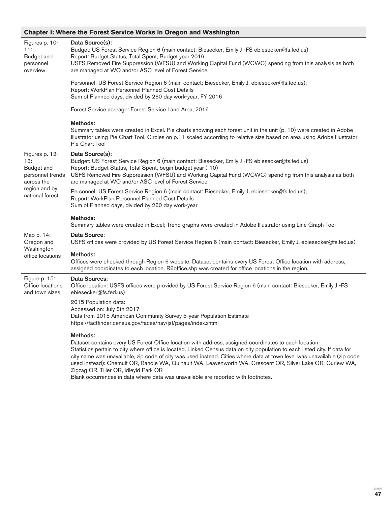## **Chapter I: Where the Forest Service Works in Oregon and Washington**

| Figures p. 10-<br>11:<br><b>Budget and</b><br>personnel<br>overview                                              | Data Source(s):<br>Budget: US Forest Service Region 6 (main contact: Biesecker, Emily J -FS ebiesecker@fs.fed.us)<br>Report: Budget Status, Total Spent, Budget year 2016<br>USFS Removed Fire Suppression (WFSU) and Working Capital Fund (WCWC) spending from this analysis as both<br>are managed at WO and/or ASC level of Forest Service.                                                                                                                                                                                                                                                                         |
|------------------------------------------------------------------------------------------------------------------|------------------------------------------------------------------------------------------------------------------------------------------------------------------------------------------------------------------------------------------------------------------------------------------------------------------------------------------------------------------------------------------------------------------------------------------------------------------------------------------------------------------------------------------------------------------------------------------------------------------------|
|                                                                                                                  | Personnel: US Forest Service Region 6 (main contact: Biesecker, Emily J, ebiesecker@fs.fed.us);<br>Report: WorkPlan Personnel Planned Cost Details<br>Sum of Planned days, divided by 260 day work-year, FY 2016                                                                                                                                                                                                                                                                                                                                                                                                       |
|                                                                                                                  | Forest Service acreage: Forest Service Land Area, 2016                                                                                                                                                                                                                                                                                                                                                                                                                                                                                                                                                                 |
|                                                                                                                  | Methods:<br>Summary tables were created in Excel. Pie charts showing each forest unit in the unit (p. 10) were created in Adobe<br>Illustrator using Pie Chart Tool. Circles on p.11 scaled according to relative size based on area using Adobe Illustrator<br>Pie Chart Tool                                                                                                                                                                                                                                                                                                                                         |
| Figures p. 12-<br>13:<br><b>Budget and</b><br>personnel trends<br>across the<br>region and by<br>national forest | Data Source(s):<br>Budget: US Forest Service Region 6 (main contact: Biesecker, Emily J -FS ebiesecker@fs.fed.us)<br>Report: Budget Status, Total Spent, begin budget year (-10)<br>USFS Removed Fire Suppression (WFSU) and Working Capital Fund (WCWC) spending from this analysis as both<br>are managed at WO and/or ASC level of Forest Service.                                                                                                                                                                                                                                                                  |
|                                                                                                                  | Personnel: US Forest Service Region 6 (main contact: Biesecker, Emily J, ebiesecker@fs.fed.us);<br>Report: WorkPlan Personnel Planned Cost Details<br>Sum of Planned days, divided by 260 day work-year                                                                                                                                                                                                                                                                                                                                                                                                                |
|                                                                                                                  | Methods:<br>Summary tables were created in Excel; Trend graphs were created in Adobe Illustrator using Line Graph Tool                                                                                                                                                                                                                                                                                                                                                                                                                                                                                                 |
| Map p. 14:<br>Oregon and                                                                                         | Data Source:<br>USFS offices were provided by US Forest Service Region 6 (main contact: Biesecker, Emily J, ebiesecker@fs.fed.us)                                                                                                                                                                                                                                                                                                                                                                                                                                                                                      |
| Washington<br>office locations                                                                                   | Methods:<br>Offices were checked through Region 6 website. Dataset contains every US Forest Office location with address,<br>assigned coordinates to each location. R6office.shp was created for office locations in the region.                                                                                                                                                                                                                                                                                                                                                                                       |
| Figure p. 15:<br>Office locations<br>and town sizes                                                              | <b>Data Sources:</b><br>Office location: USFS offices were provided by US Forest Service Region 6 (main contact: Biesecker, Emily J-FS<br>ebiesecker@fs.fed.us)                                                                                                                                                                                                                                                                                                                                                                                                                                                        |
|                                                                                                                  | 2015 Population data:<br>Accessed on: July 8th 2017<br>Data from 2015 American Community Survey 5-year Population Estimate<br>https://factfinder.census.gov/faces/nav/jsf/pages/index.xhtml                                                                                                                                                                                                                                                                                                                                                                                                                            |
|                                                                                                                  | Methods:<br>Dataset contains every US Forest Office location with address, assigned coordinates to each location.<br>Statistics pertain to city where office is located. Linked Census data on city population to each listed city. If data for<br>city name was unavailable, zip code of city was used instead. Cities where data at town level was unavailable (zip code<br>used instead): Chemult OR, Randle WA, Quinault WA, Leavenworth WA, Crescent OR, Silver Lake OR, Curlew WA,<br>Zigzag OR, Tiller OR, Idleyld Park OR<br>Blank occurrences in data where data was unavailable are reported with footnotes. |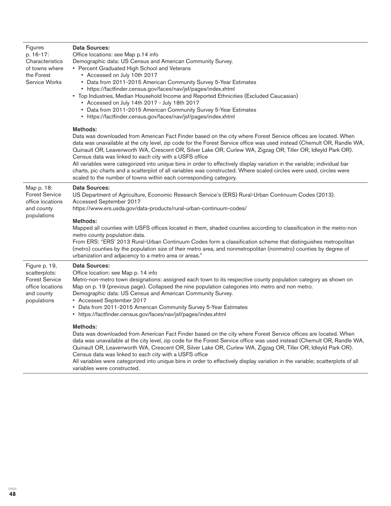| Figures<br>p. 16-17:<br>Characteristics<br>of towns where<br>the Forest<br><b>Service Works</b>          | Data Sources:<br>Office locations: see Map p.14 info<br>Demographic data: US Census and American Community Survey.<br>• Percent Graduated High School and Veterans<br>• Accessed on July 10th 2017<br>• Data from 2011-2015 American Community Survey 5-Year Estimates<br>• https://factfinder.census.gov/faces/nav/jsf/pages/index.xhtml<br>• Top Industries, Median Household Income and Reported Ethnicities (Excluded Caucasian)<br>* Accessed on July 14th 2017 - July 18th 2017<br>• Data from 2011-2015 American Community Survey 5-Year Estimates<br>• https://factfinder.census.gov/faces/nav/jsf/pages/index.xhtml                                                                                                                             |
|----------------------------------------------------------------------------------------------------------|----------------------------------------------------------------------------------------------------------------------------------------------------------------------------------------------------------------------------------------------------------------------------------------------------------------------------------------------------------------------------------------------------------------------------------------------------------------------------------------------------------------------------------------------------------------------------------------------------------------------------------------------------------------------------------------------------------------------------------------------------------|
|                                                                                                          | Methods:<br>Data was downloaded from American Fact Finder based on the city where Forest Service offices are located. When<br>data was unavailable at the city level, zip code for the Forest Service office was used instead (Chemult OR, Randle WA,<br>Quinault OR, Leavenworth WA, Crescent OR, Silver Lake OR, Curlew WA, Zigzag OR, Tiller OR, Idleyld Park OR).<br>Census data was linked to each city with a USFS office<br>All variables were categorized into unique bins in order to effectively display variation in the variable; individual bar<br>charts, pic charts and a scatterplot of all variables was constructed. Where scaled circles were used, circles were<br>scaled to the number of towns within each corresponding category. |
| Map p. 18:<br><b>Forest Service</b><br>office locations<br>and county<br>populations                     | <b>Data Sources:</b><br>US Department of Agriculture, Economic Research Service's (ERS) Rural-Urban Continuum Codes (2013).<br>Accessed September 2017<br>https://www.ers.usda.gov/data-products/rural-urban-continuum-codes/<br>Methods:<br>Mapped all counties with USFS offices located in them, shaded counties according to classification in the metro-non<br>metro county population data.<br>From ERS: "ERS' 2013 Rural-Urban Continuum Codes form a classification scheme that distinguishes metropolitan<br>(metro) counties by the population size of their metro area, and nonmetropolitan (nonmetro) counties by degree of                                                                                                                  |
| Figure p. 19,<br>scatterplots:<br><b>Forest Service</b><br>office locations<br>and county<br>populations | urbanization and adjacency to a metro area or areas."<br><b>Data Sources:</b><br>Office location: see Map p. 14 info<br>Metro-non-metro town designations: assigned each town to its respective county population category as shown on<br>Map on p. 19 (previous page). Collapsed the nine population categories into metro and non metro.<br>Demographic data: US Census and American Community Survey.<br>• Accessed September 2017<br>• Data from 2011-2015 American Community Survey 5-Year Estimates<br>• https://factfinder.census.gov/faces/nav/jsf/pages/index.xhtml                                                                                                                                                                             |
|                                                                                                          | Methods:<br>Data was downloaded from American Fact Finder based on the city where Forest Service offices are located. When<br>data was unavailable at the city level, zip code for the Forest Service office was used instead (Chemult OR, Randle WA,<br>Quinault OR, Leavenworth WA, Crescent OR, Silver Lake OR, Curlew WA, Zigzag OR, Tiller OR, Idleyld Park OR).<br>Census data was linked to each city with a USFS office<br>All variables were categorized into unique bins in order to effectively display variation in the variable; scatterplots of all<br>variables were constructed.                                                                                                                                                         |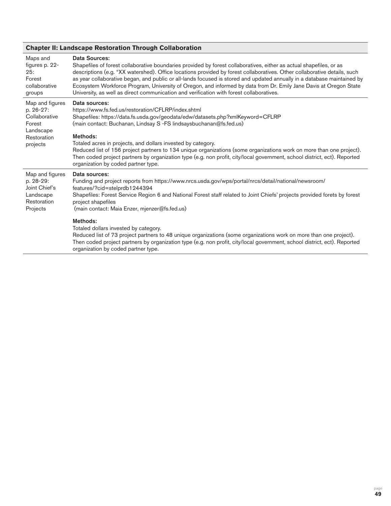| <b>Chapter II: Landscape Restoration Through Collaboration</b>                                  |                                                                                                                                                                                                                                                                                                                                                                                                                                                                                                                                                                                                                                                                    |  |
|-------------------------------------------------------------------------------------------------|--------------------------------------------------------------------------------------------------------------------------------------------------------------------------------------------------------------------------------------------------------------------------------------------------------------------------------------------------------------------------------------------------------------------------------------------------------------------------------------------------------------------------------------------------------------------------------------------------------------------------------------------------------------------|--|
| Maps and<br>figures p. 22-<br>25:<br>Forest<br>collaborative<br>groups                          | Data Sources:<br>Shapefiles of forest collaborative boundaries provided by forest collaboratives, either as actual shapefiles, or as<br>descriptions (e.g. "XX watershed). Office locations provided by forest collaboratives. Other collaborative details, such<br>as year collaborative began, and public or all-lands focused is stored and updated annually in a database maintained by<br>Ecosystem Workforce Program, University of Oregon, and informed by data from Dr. Emily Jane Davis at Oregon State<br>University, as well as direct communication and verification with forest collaboratives.                                                       |  |
| Map and figures<br>p. 26-27:<br>Collaborative<br>Forest<br>Landscape<br>Restoration<br>projects | Data sources:<br>https://www.fs.fed.us/restoration/CFLRP/index.shtml<br>Shapefiles: https://data.fs.usda.gov/geodata/edw/datasets.php?xmlKeyword=CFLRP<br>(main contact: Buchanan, Lindsay S -FS lindsaysbuchanan@fs.fed.us)<br>Methods:<br>Totaled acres in projects, and dollars invested by category.<br>Reduced list of 156 project partners to 134 unique organizations (some organizations work on more than one project).<br>Then coded project partners by organization type (e.g. non profit, city/local government, school district, ect). Reported<br>organization by coded partner type.                                                               |  |
| Map and figures<br>p. 28-29:<br>Joint Chief's<br>Landscape<br>Restoration<br>Projects           | Data sources:<br>Funding and project reports from https://www.nrcs.usda.gov/wps/portal/nrcs/detail/national/newsroom/<br>features/?cid=stelprdb1244394<br>Shapefiles: Forest Service Region 6 and National Forest staff related to Joint Chiefs' projects provided forets by forest<br>project shapefiles<br>(main contact: Maia Enzer, mjenzer@fs.fed.us)<br>Methods:<br>Totaled dollars invested by category.<br>Reduced list of 73 project partners to 48 unique organizations (some organizations work on more than one project).<br>Then coded project partners by organization type (e.g. non profit, city/local government, school district, ect). Reported |  |

organization by coded partner type.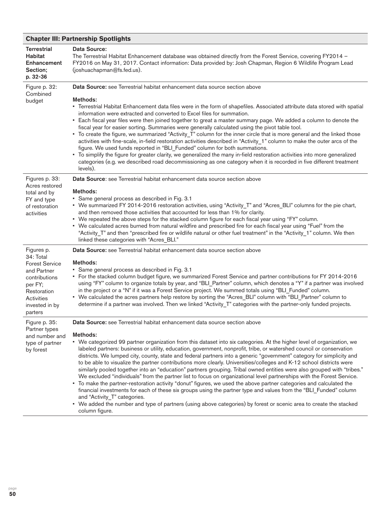## **Chapter III: Partnership Spotlights**

| <b>Terrestrial</b><br><b>Habitat</b><br>Enhancement<br>Section;<br>p. 32-36                                                                           | Data Source:<br>The Terrestrial Habitat Enhancement database was obtained directly from the Forest Service, covering FY2014 -<br>FY2016 on May 31, 2017. Contact information: Data provided by: Josh Chapman, Region 6 Wildlife Program Lead<br>(joshuachapman@fs.fed.us).                                                                                                                                                                                                                                                                                                                                                                                                                                                                                                                                                                                                                                                                                                                                                                                                                                                                                                                                                                                          |
|-------------------------------------------------------------------------------------------------------------------------------------------------------|---------------------------------------------------------------------------------------------------------------------------------------------------------------------------------------------------------------------------------------------------------------------------------------------------------------------------------------------------------------------------------------------------------------------------------------------------------------------------------------------------------------------------------------------------------------------------------------------------------------------------------------------------------------------------------------------------------------------------------------------------------------------------------------------------------------------------------------------------------------------------------------------------------------------------------------------------------------------------------------------------------------------------------------------------------------------------------------------------------------------------------------------------------------------------------------------------------------------------------------------------------------------|
| Figure p. 32:<br>Combined<br>budget                                                                                                                   | Data Source: see Terrestrial habitat enhancement data source section above<br>Methods:<br>• Terrestrial Habitat Enhancement data files were in the form of shapefiles. Associated attribute data stored with spatial<br>information were extracted and converted to Excel files for summation.<br>• Each fiscal year files were then joined together to great a master summary page. We added a column to denote the<br>fiscal year for easier sorting. Summaries were generally calculated using the pivot table tool.<br>* To create the figure, we summarized "Activity_T" column for the inner circle that is more general and the linked those<br>activities with fine-scale, in-field restoration activities described in "Activity_1" column to make the outer arcs of the<br>figure. We used funds reported in "BLI_Funded" column for both summations.<br>• To simplify the figure for greater clarity, we generalized the many in-field restoration activities into more generalized<br>categories (e.g. we described road decommissioning as one category when it is recorded in five different treatment<br>levels).                                                                                                                                    |
| Figures p. 33:<br>Acres restored<br>total and by<br>FY and type<br>of restoration<br>activities                                                       | Data Source: see Terrestrial habitat enhancement data source section above<br>Methods:<br>• Same general process as described in Fig. 3.1<br>• We summarized FY 2014-2016 restoration activities, using "Activity_T" and "Acres_BLI" columns for the pie chart,<br>and then removed those activities that accounted for less than 1% for clarity.<br>. We repeated the above steps for the stacked column figure for each fiscal year using "FY" column.<br>• We calculated acres burned from natural wildfire and prescribed fire for each fiscal year using "Fuel" from the<br>"Activity_T" and then "prescribed fire or wildlife natural or other fuel treatment" in the "Activity_1" column. We then<br>linked these categories with "Acres_BLI."                                                                                                                                                                                                                                                                                                                                                                                                                                                                                                               |
| Figures p.<br>34: Total<br><b>Forest Service</b><br>and Partner<br>contributions<br>per FY;<br>Restoration<br>Activities<br>invested in by<br>parters | Data Source: see Terrestrial habitat enhancement data source section above<br>Methods:<br>• Same general process as described in Fig. 3.1<br>• For the stacked column budget figure, we summarized Forest Service and partner contributions for FY 2014-2016<br>using "FY" column to organize totals by year, and "BLI_Partner" column, which denotes a "Y" if a partner was involved<br>in the project or a "N" if it was a Forest Service project. We summed totals using "BLI_Funded" column.<br>• We calculated the acres partners help restore by sorting the "Acres_BLI" column with "BLI_Partner" column to<br>determine if a partner was involved. Then we linked "Activity_T" categories with the partner-only funded projects.                                                                                                                                                                                                                                                                                                                                                                                                                                                                                                                            |
| Figure p. 35:<br>Partner types<br>and number and<br>type of partner<br>by forest                                                                      | Data Source: see Terrestrial habitat enhancement data source section above<br>Methods:<br>• We categorized 99 partner organization from this dataset into six categories. At the higher level of organization, we<br>labeled partners: business or utility, education, government, nonprofit, tribe, or watershed council or conservation<br>districts. We lumped city, county, state and federal partners into a generic "government" category for simplicity and<br>to be able to visualize the partner contributions more clearly. Universities/colleges and K-12 school districts were<br>similarly pooled together into an "education" partners grouping. Tribal owned entities were also grouped with "tribes."<br>We excluded "individuals" from the partner list to focus on organizational level partnerships with the Forest Service.<br>• To make the partner-restoration activity "donut" figures, we used the above partner categories and calculated the<br>financial investments for each of these six groups using the partner type and values from the "BLI_Funded" column<br>and "Activity_T" categories.<br>• We added the number and type of partners (using above categories) by forest or scenic area to create the stacked<br>column figure. |